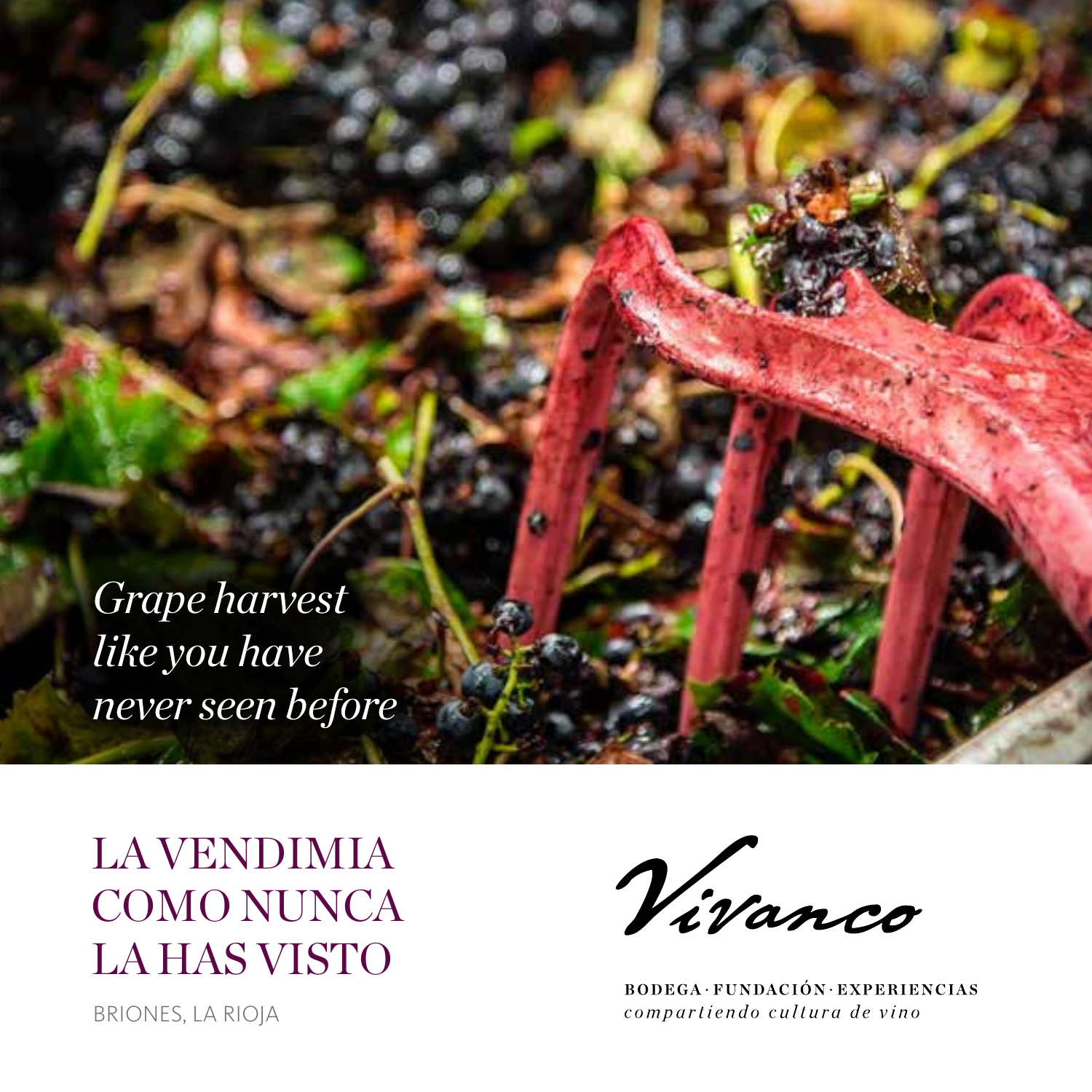

LA VENDIMIA COMO NUNCA LA HAS VISTO

BRIONES, LA RIOJA

Vivanco

**BODEGA·FUNDACIÓN·EXPERIENCIAS** compartiendo cultura de vino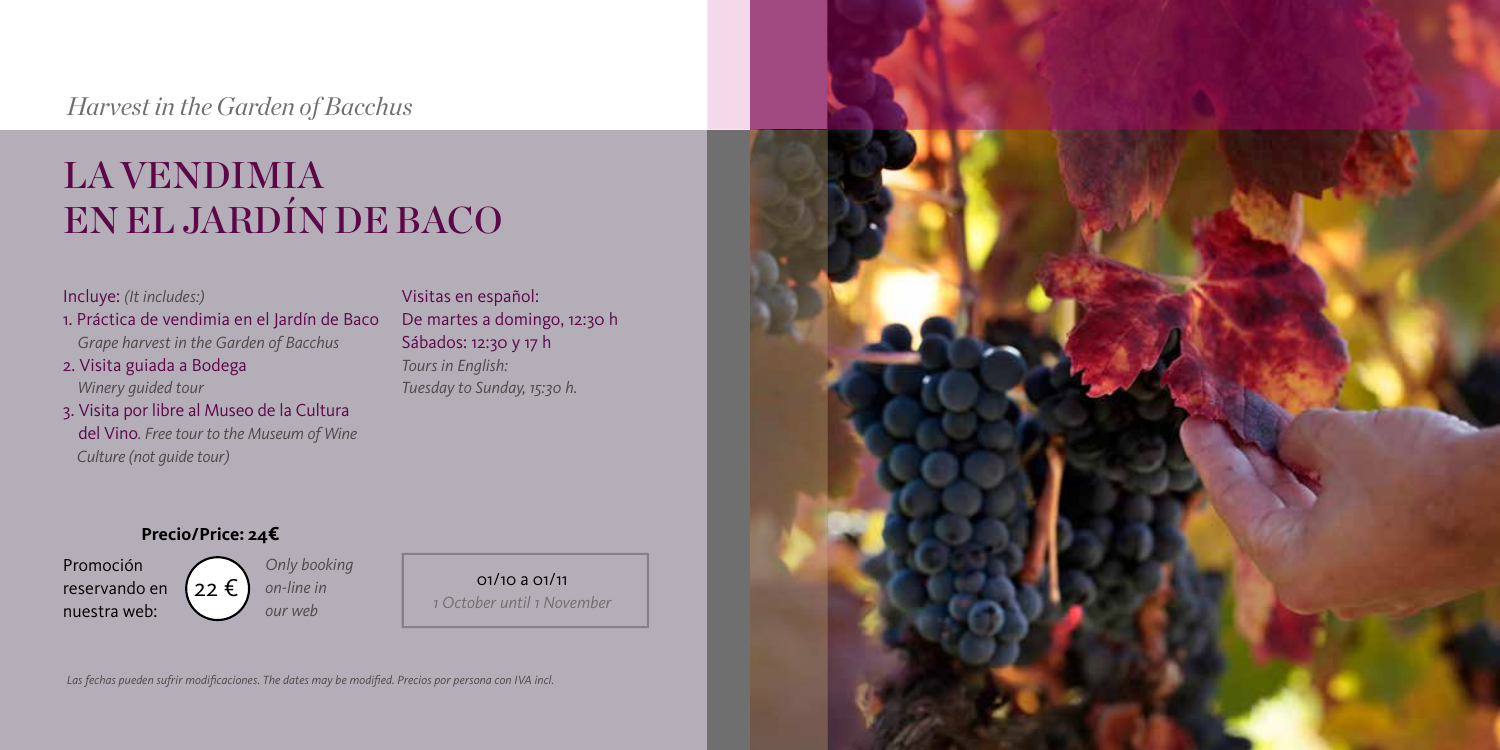## *Harvest in the Garden of Bacchus*

# LA VENDIMIA EN EL JARDÍN DE BACO

#### Incluye: *(It includes:)*

- 1. Práctica de vendimia en el Jardín de Baco  *Grape harvest in the Garden of Bacchus*
- 2. Visita guiada a Bodega  *Winery guided tour*
- 3. Visita por libre al Museo de la Cultura del Vino*. Free tour to the Museum of Wine Culture (not guide tour)*

Visitas en español: De martes a domingo, 12:30 h Sábados: 12:30 y 17 h *Tours in English: Tuesday to Sunday, 15:30 h.*

#### **Precio/Price: 24€**

Promoción reservando en nuestra web:

 $122 \epsilon$ *Only booking on-line in our web*

01/10 a 01/11 *1 October until 1 November*



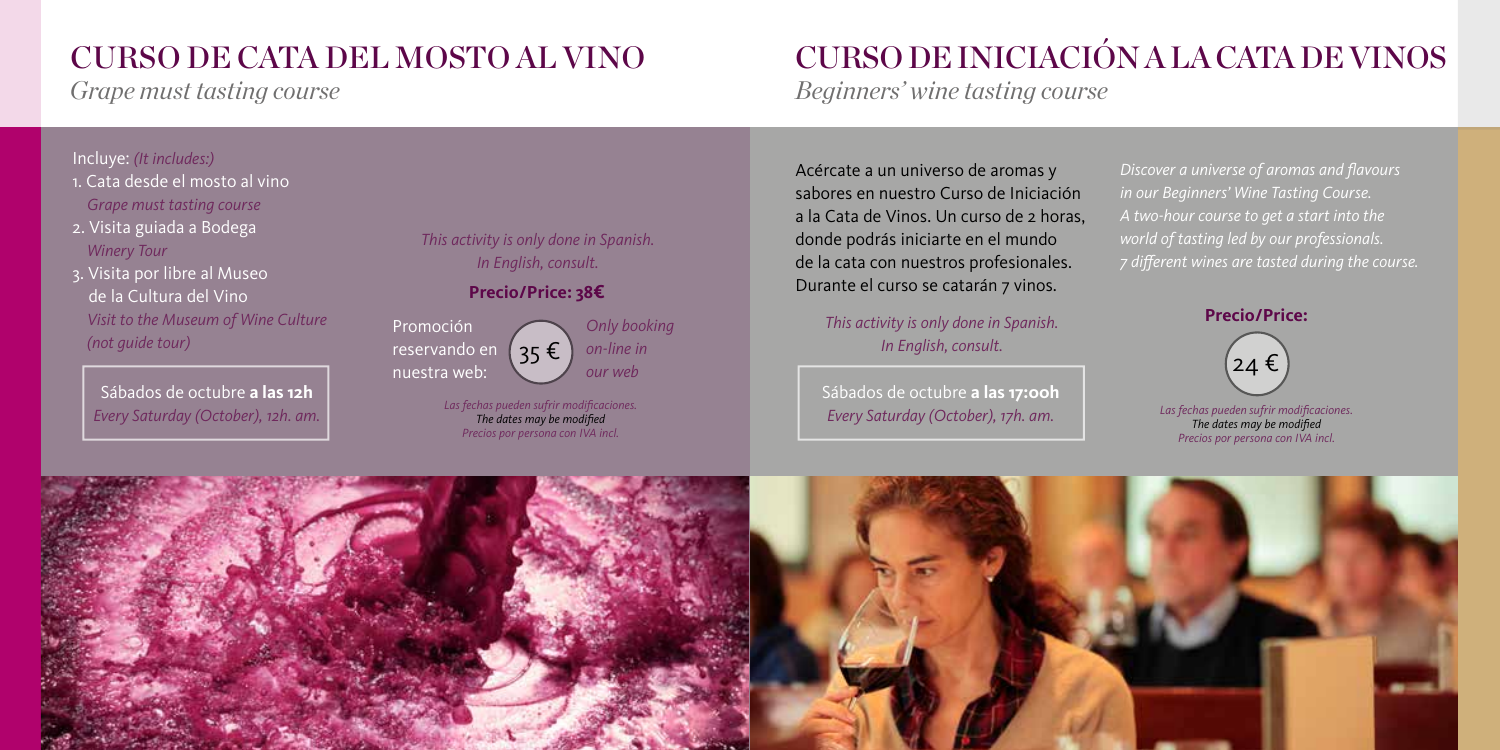## CURSO DE CATA DEL MOSTO AL VINO

*Grape must tasting course*

#### Incluye: *(It includes:)*

- 1. Cata desde el mosto al vino  *Grape must tasting course*
- 2. Visita guiada a Bodega  *Winery Tour*
- 3. Visita por libre al Museo de la Cultura del Vino  *Visit to the Museum of Wine Culture (not guide tour)*

Sábados de octubre **a las 12h** *Every Saturday (October), 12h. am.* *This activity is only done in Spanish. In English, consult.*

**Precio/Price: 38€**

Promoción reservando en nuestra web:

 $35 \in$ *Only booking on-line in our web*

*Las fechas pueden sufrir modificaciones. The dates may be modified Precios por persona con IVA incl.*

# CURSO DE INICIACIÓN A LA CATA DE VINOS

*Beginners' wine tasting course* 

Acércate a un universo de aromas y sabores en nuestro Curso de Iniciación a la Cata de Vinos. Un curso de 2 horas, donde podrás iniciarte en el mundo de la cata con nuestros profesionales. Durante el curso se catarán 7 vinos.

> *This activity is only done in Spanish. In English, consult.*

Sábados de octubre **a las 17:00h** *Every Saturday (October), 17h. am.*

*Discover a universe of aromas and flavours in our Beginners' Wine Tasting Course. A two-hour course to get a start into the world of tasting led by our professionals. 7 different wines are tasted during the course.*



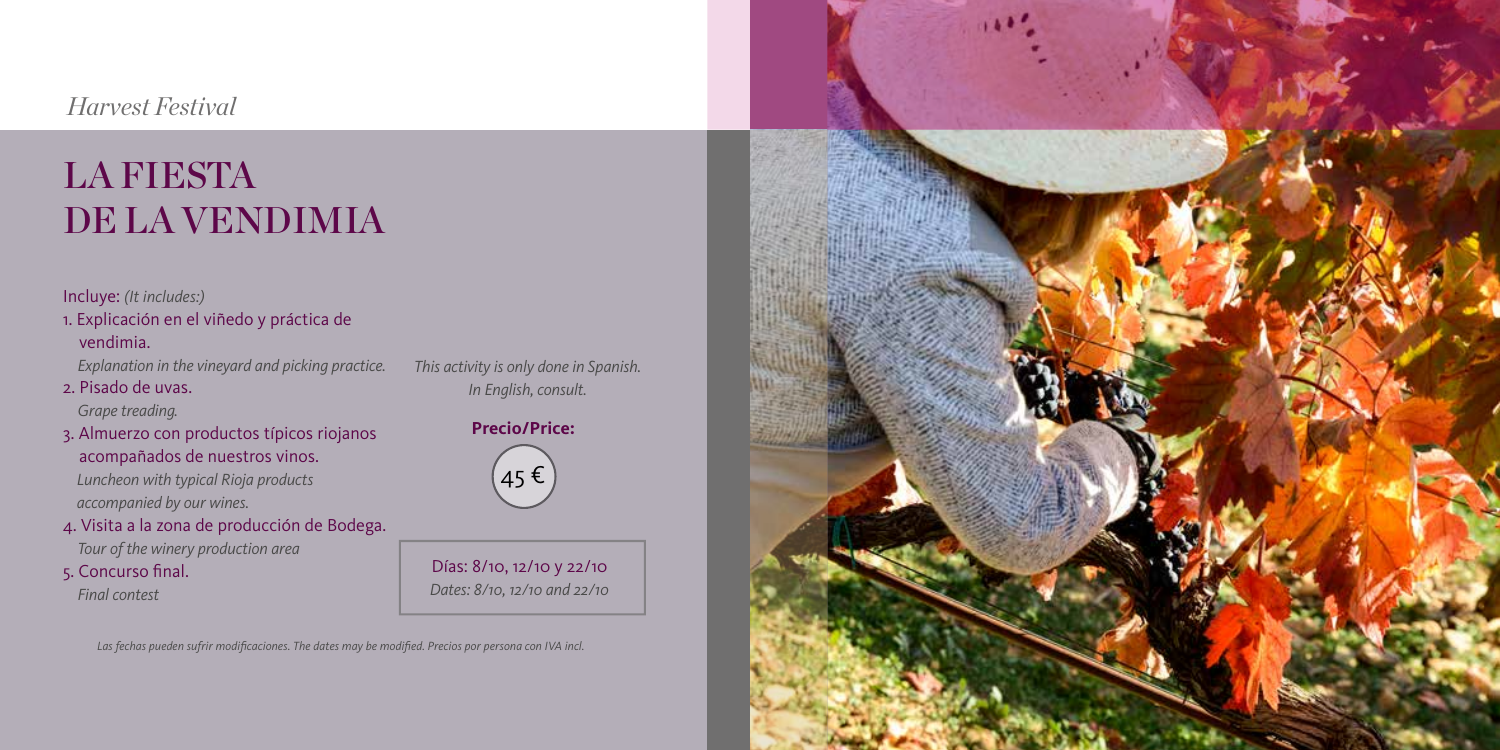### *Harvest Festival*

# LA FIESTA DE LA VENDIMIA

#### Incluye: *(It includes:)*

- 1. Explicación en el viñedo y práctica de vendimia.
	- *Explanation in the vineyard and picking practice.*
- 2. Pisado de uvas.

 *Grape treading.* 

- 3. Almuerzo con productos típicos riojanos acompañados de nuestros vinos.  *Luncheon with typical Rioja products accompanied by our wines.*
- 4. Visita a la zona de producción de Bodega.

 *Tour of the winery production area*

5. Concurso final.  *Final contest*

*This activity is only done in Spanish. In English, consult.*

**Precio/Price:** 45 €

Días: 8/10, 12/10 y 22/10 *Dates: 8/10, 12/10 and 22/10*

*Las fechas pueden sufrir modificaciones. The dates may be modified. Precios por persona con IVA incl.*

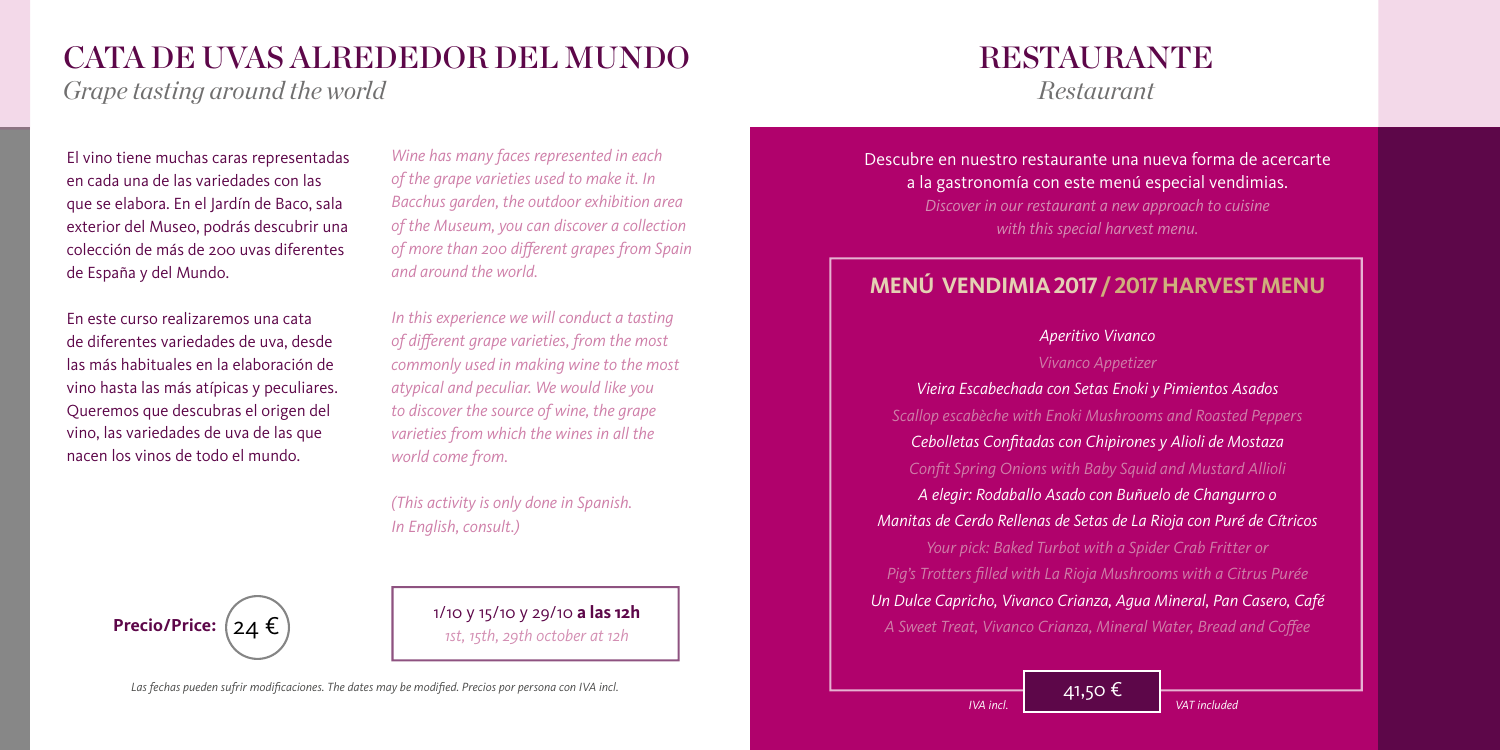## CATA DE UVAS ALREDEDOR DEL MUNDO

*Grape tasting around the world*

El vino tiene muchas caras representadas en cada una de las variedades con las que se elabora. En el Jardín de Baco, sala exterior del Museo, podrás descubrir una colección de más de 200 uvas diferentes de España y del Mundo.

En este curso realizaremos una cata de diferentes variedades de uva, desde las más habituales en la elaboración de vino hasta las más atípicas y peculiares. Queremos que descubras el origen del vino, las variedades de uva de las que nacen los vinos de todo el mundo.

*Wine has many faces represented in each of the grape varieties used to make it. In Bacchus garden, the outdoor exhibition area of the Museum, you can discover a collection of more than 200 different grapes from Spain and around the world.*

*In this experience we will conduct a tasting of different grape varieties, from the most commonly used in making wine to the most atypical and peculiar. We would like you to discover the source of wine, the grape varieties from which the wines in all the world come from.*

*(This activity is only done in Spanish. In English, consult.)*



1/10 y 15/10 y 29/10 **a las 12h** *1st, 15th, 29th october at 12h*

# RESTAURANTE

*Restaurant*

Descubre en nuestro restaurante una nueva forma de acercarte a la gastronomía con este menú especial vendimias.

> *Discover in our restaurant a new approach to cuisine with this special harvest menu.*

## **MENÚ VENDIMIA 2017 / 2017 HARVEST MENU**

#### *Aperitivo Vivanco*

#### *Vivanco Appetizer*

*Vieira Escabechada con Setas Enoki y Pimientos Asados Scallop escabèche with Enoki Mushrooms and Roasted Peppers Cebolletas Confitadas con Chipirones y Alioli de Mostaza Confit Spring Onions with Baby Squid and Mustard Allioli A elegir: Rodaballo Asado con Buñuelo de Changurro o Manitas de Cerdo Rellenas de Setas de La Rioja con Puré de Cítricos Your pick: Baked Turbot with a Spider Crab Fritter or Pig's Trotters filled with La Rioja Mushrooms with a Citrus Purée Un Dulce Capricho, Vivanco Crianza, Agua Mineral, Pan Casero, Café A Sweet Treat, Vivanco Crianza, Mineral Water, Bread and Coffee*

41,50 €

*Las fechas pueden sufrir modificaciones. The dates may be modified. Precios por persona con IVA incl.*

*IVA incl. VAT included*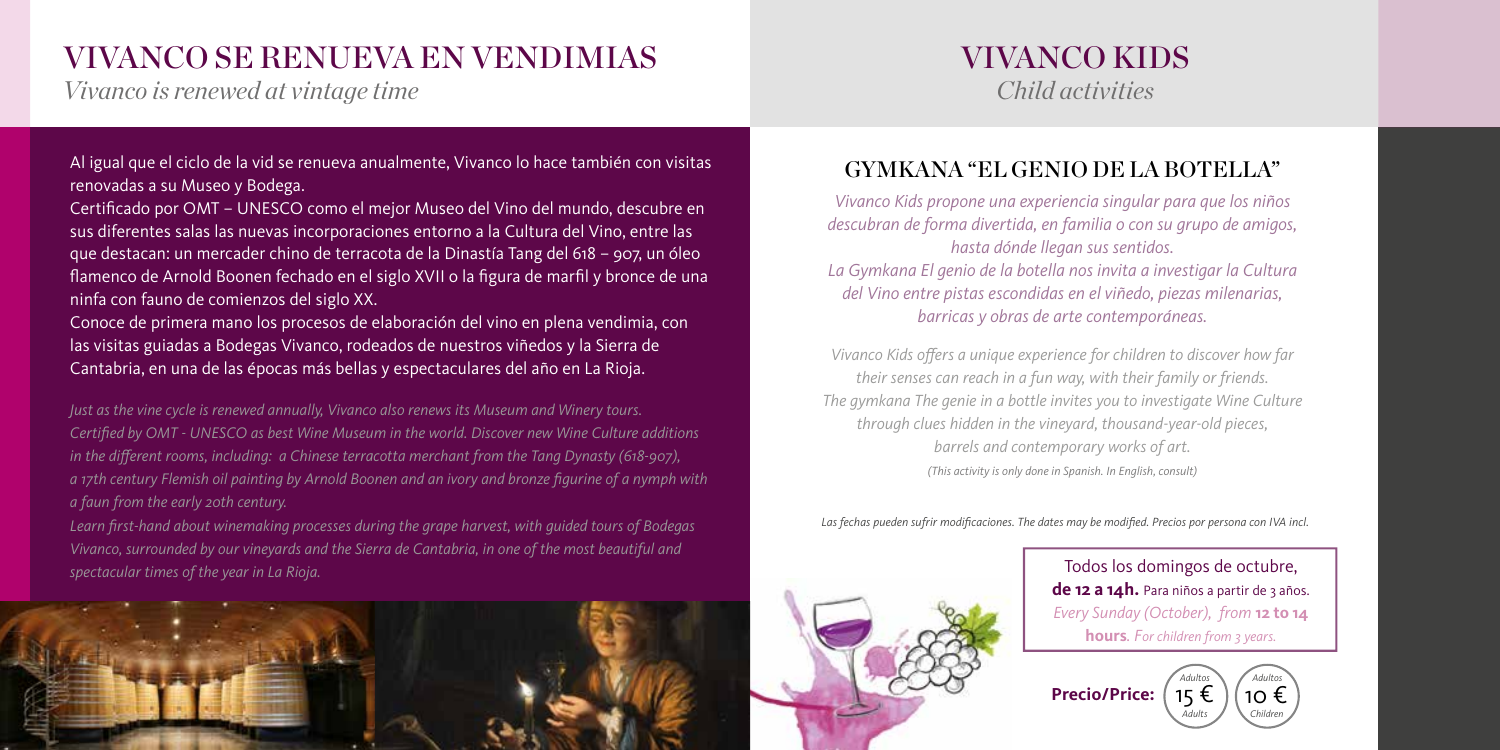## VIVANCO SE RENUEVA EN VENDIMIAS

*Vivanco is renewed at vintage time*

Al igual que el ciclo de la vid se renueva anualmente, Vivanco lo hace también con visitas renovadas a su Museo y Bodega.

Certificado por OMT – UNESCO como el mejor Museo del Vino del mundo, descubre en sus diferentes salas las nuevas incorporaciones entorno a la Cultura del Vino, entre las que destacan: un mercader chino de terracota de la Dinastía Tang del 618 – 907, un óleo flamenco de Arnold Boonen fechado en el siglo XVII o la figura de marfil y bronce de una ninfa con fauno de comienzos del siglo XX.

Conoce de primera mano los procesos de elaboración del vino en plena vendimia, con las visitas guiadas a Bodegas Vivanco, rodeados de nuestros viñedos y la Sierra de Cantabria, en una de las épocas más bellas y espectaculares del año en La Rioja.

*Just as the vine cycle is renewed annually, Vivanco also renews its Museum and Winery tours. Certified by OMT - UNESCO as best Wine Museum in the world. Discover new Wine Culture additions in the different rooms, including: a Chinese terracotta merchant from the Tang Dynasty (618-907), a 17th century Flemish oil painting by Arnold Boonen and an ivory and bronze figurine of a nymph with a faun from the early 20th century.*

*Learn first-hand about winemaking processes during the grape harvest, with guided tours of Bodegas Vivanco, surrounded by our vineyards and the Sierra de Cantabria, in one of the most beautiful and spectacular times of the year in La Rioja.*



## VIVANCO KIDS *Child activities*

## GYMKANA "EL GENIO DE LA BOTELLA"

*Vivanco Kids propone una experiencia singular para que los niños descubran de forma divertida, en familia o con su grupo de amigos, hasta dónde llegan sus sentidos. La Gymkana El genio de la botella nos invita a investigar la Cultura del Vino entre pistas escondidas en el viñedo, piezas milenarias, barricas y obras de arte contemporáneas.* 

*Vivanco Kids offers a unique experience for children to discover how far their senses can reach in a fun way, with their family or friends. The gymkana The genie in a bottle invites you to investigate Wine Culture through clues hidden in the vineyard, thousand-year-old pieces, barrels and contemporary works of art. (This activity is only done in Spanish. In English, consult)*

*Las fechas pueden sufrir modificaciones. The dates may be modified. Precios por persona con IVA incl.*



Todos los domingos de octubre, de 12 a 14h. Para niños a partir de 3 años. *Every Sunday (October), from* **12 to 14 hours***. For children from 3 years.*